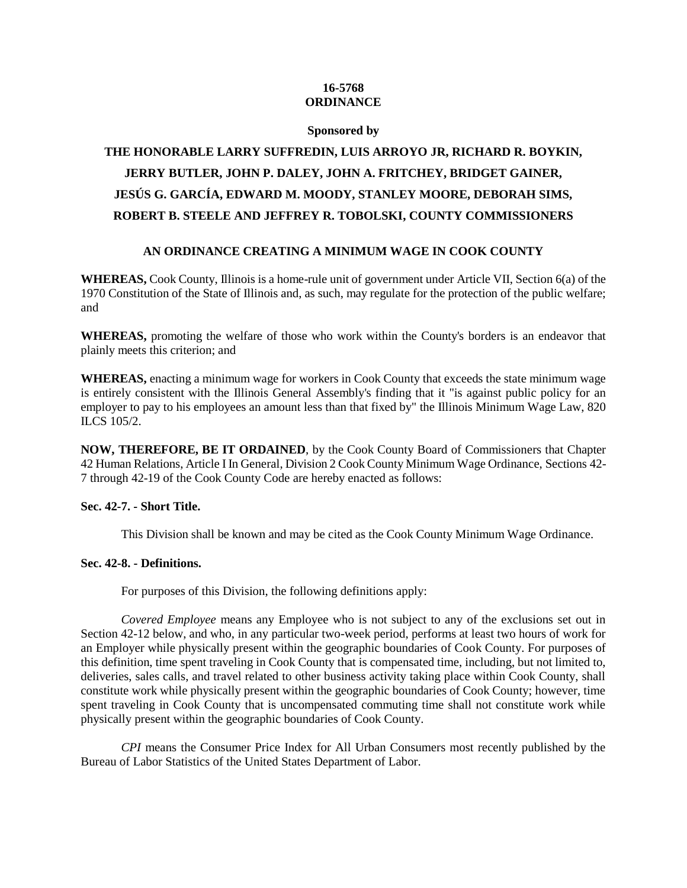# **16-5768 ORDINANCE**

#### **Sponsored by**

# **THE HONORABLE LARRY SUFFREDIN, LUIS ARROYO JR, RICHARD R. BOYKIN, JERRY BUTLER, JOHN P. DALEY, JOHN A. FRITCHEY, BRIDGET GAINER, JESÚS G. GARCÍA, EDWARD M. MOODY, STANLEY MOORE, DEBORAH SIMS, ROBERT B. STEELE AND JEFFREY R. TOBOLSKI, COUNTY COMMISSIONERS**

# **AN ORDINANCE CREATING A MINIMUM WAGE IN COOK COUNTY**

**WHEREAS,** Cook County, Illinois is a home-rule unit of government under Article VII, Section 6(a) of the 1970 Constitution of the State of Illinois and, as such, may regulate for the protection of the public welfare; and

**WHEREAS,** promoting the welfare of those who work within the County's borders is an endeavor that plainly meets this criterion; and

**WHEREAS,** enacting a minimum wage for workers in Cook County that exceeds the state minimum wage is entirely consistent with the Illinois General Assembly's finding that it "is against public policy for an employer to pay to his employees an amount less than that fixed by" the Illinois Minimum Wage Law, 820 ILCS 105/2.

**NOW, THEREFORE, BE IT ORDAINED**, by the Cook County Board of Commissioners that Chapter 42 Human Relations, Article I In General, Division 2 Cook County Minimum Wage Ordinance, Sections 42- 7 through 42-19 of the Cook County Code are hereby enacted as follows:

# **Sec. 42-7. - Short Title.**

This Division shall be known and may be cited as the Cook County Minimum Wage Ordinance.

# **Sec. 42-8. - Definitions.**

For purposes of this Division, the following definitions apply:

*Covered Employee* means any Employee who is not subject to any of the exclusions set out in Section 42-12 below, and who, in any particular two-week period, performs at least two hours of work for an Employer while physically present within the geographic boundaries of Cook County. For purposes of this definition, time spent traveling in Cook County that is compensated time, including, but not limited to, deliveries, sales calls, and travel related to other business activity taking place within Cook County, shall constitute work while physically present within the geographic boundaries of Cook County; however, time spent traveling in Cook County that is uncompensated commuting time shall not constitute work while physically present within the geographic boundaries of Cook County.

*CPI* means the Consumer Price Index for All Urban Consumers most recently published by the Bureau of Labor Statistics of the United States Department of Labor.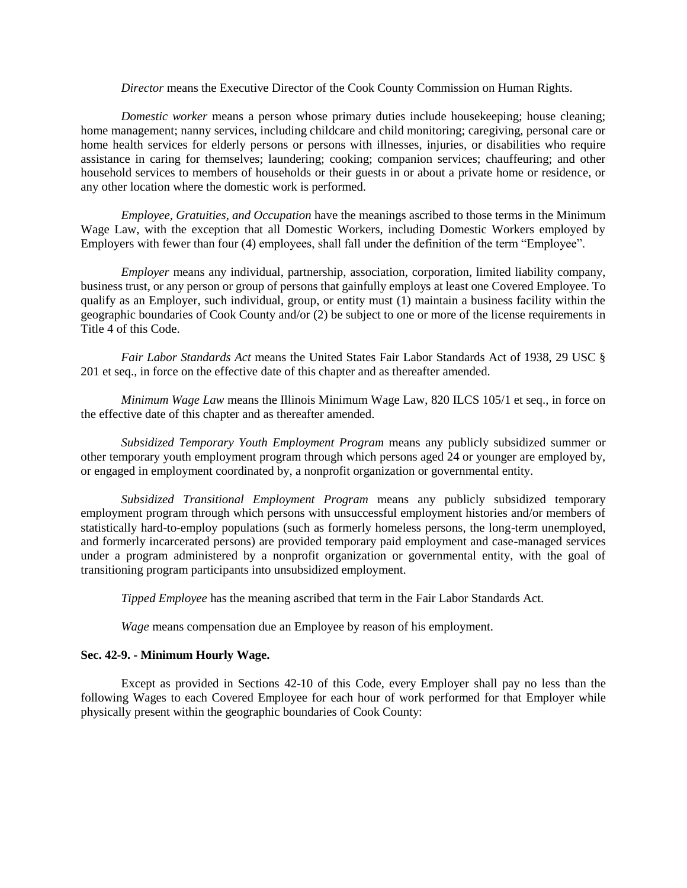#### *Director* means the Executive Director of the Cook County Commission on Human Rights.

*Domestic worker* means a person whose primary duties include housekeeping; house cleaning; home management; nanny services, including childcare and child monitoring; caregiving, personal care or home health services for elderly persons or persons with illnesses, injuries, or disabilities who require assistance in caring for themselves; laundering; cooking; companion services; chauffeuring; and other household services to members of households or their guests in or about a private home or residence, or any other location where the domestic work is performed.

*Employee, Gratuities, and Occupation* have the meanings ascribed to those terms in the Minimum Wage Law, with the exception that all Domestic Workers, including Domestic Workers employed by Employers with fewer than four (4) employees, shall fall under the definition of the term "Employee".

*Employer* means any individual, partnership, association, corporation, limited liability company, business trust, or any person or group of persons that gainfully employs at least one Covered Employee. To qualify as an Employer, such individual, group, or entity must (1) maintain a business facility within the geographic boundaries of Cook County and/or (2) be subject to one or more of the license requirements in Title 4 of this Code.

*Fair Labor Standards Act* means the United States Fair Labor Standards Act of 1938, 29 USC § 201 et seq., in force on the effective date of this chapter and as thereafter amended.

*Minimum Wage Law* means the Illinois Minimum Wage Law, 820 ILCS 105/1 et seq., in force on the effective date of this chapter and as thereafter amended.

*Subsidized Temporary Youth Employment Program* means any publicly subsidized summer or other temporary youth employment program through which persons aged 24 or younger are employed by, or engaged in employment coordinated by, a nonprofit organization or governmental entity.

*Subsidized Transitional Employment Program* means any publicly subsidized temporary employment program through which persons with unsuccessful employment histories and/or members of statistically hard-to-employ populations (such as formerly homeless persons, the long-term unemployed, and formerly incarcerated persons) are provided temporary paid employment and case-managed services under a program administered by a nonprofit organization or governmental entity, with the goal of transitioning program participants into unsubsidized employment.

*Tipped Employee* has the meaning ascribed that term in the Fair Labor Standards Act.

*Wage* means compensation due an Employee by reason of his employment.

#### **Sec. 42-9. - Minimum Hourly Wage.**

Except as provided in Sections 42-10 of this Code, every Employer shall pay no less than the following Wages to each Covered Employee for each hour of work performed for that Employer while physically present within the geographic boundaries of Cook County: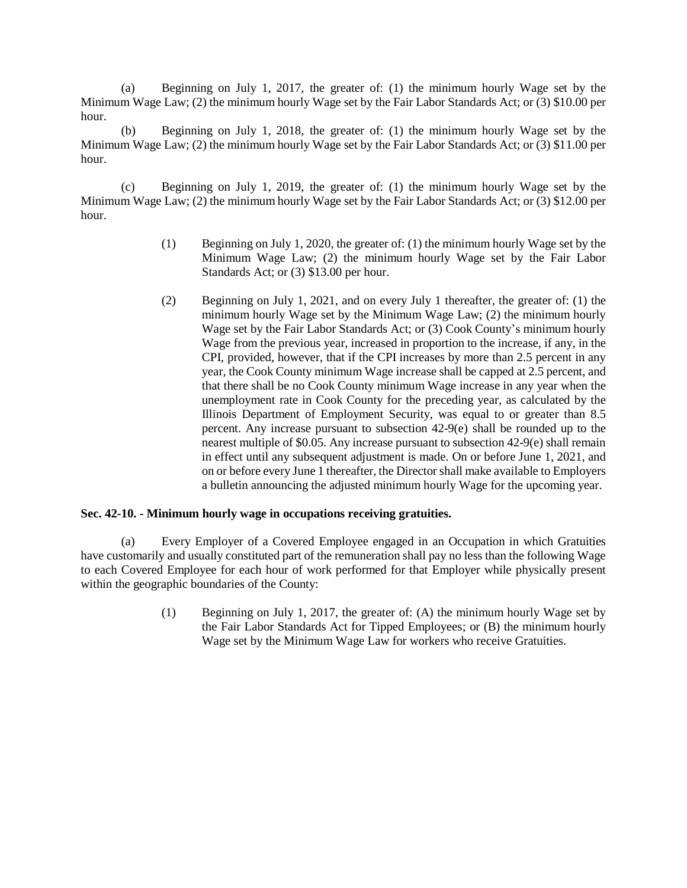(a) Beginning on July 1, 2017, the greater of: (1) the minimum hourly Wage set by the Minimum Wage Law; (2) the minimum hourly Wage set by the Fair Labor Standards Act; or (3) \$10.00 per hour.

(b) Beginning on July 1, 2018, the greater of: (1) the minimum hourly Wage set by the Minimum Wage Law; (2) the minimum hourly Wage set by the Fair Labor Standards Act; or (3) \$11.00 per hour.

(c) Beginning on July 1, 2019, the greater of: (1) the minimum hourly Wage set by the Minimum Wage Law; (2) the minimum hourly Wage set by the Fair Labor Standards Act; or (3) \$12.00 per hour.

- (1) Beginning on July 1, 2020, the greater of: (1) the minimum hourly Wage set by the Minimum Wage Law; (2) the minimum hourly Wage set by the Fair Labor Standards Act; or (3) \$13.00 per hour.
- (2) Beginning on July 1, 2021, and on every July 1 thereafter, the greater of: (1) the minimum hourly Wage set by the Minimum Wage Law; (2) the minimum hourly Wage set by the Fair Labor Standards Act; or (3) Cook County's minimum hourly Wage from the previous year, increased in proportion to the increase, if any, in the CPI, provided, however, that if the CPI increases by more than 2.5 percent in any year, the Cook County minimum Wage increase shall be capped at 2.5 percent, and that there shall be no Cook County minimum Wage increase in any year when the unemployment rate in Cook County for the preceding year, as calculated by the Illinois Department of Employment Security, was equal to or greater than 8.5 percent. Any increase pursuant to subsection 42-9(e) shall be rounded up to the nearest multiple of \$0.05. Any increase pursuant to subsection 42-9(e) shall remain in effect until any subsequent adjustment is made. On or before June 1, 2021, and on or before every June 1 thereafter, the Director shall make available to Employers a bulletin announcing the adjusted minimum hourly Wage for the upcoming year.

# **Sec. 42-10. - Minimum hourly wage in occupations receiving gratuities.**

(a) Every Employer of a Covered Employee engaged in an Occupation in which Gratuities have customarily and usually constituted part of the remuneration shall pay no less than the following Wage to each Covered Employee for each hour of work performed for that Employer while physically present within the geographic boundaries of the County:

> (1) Beginning on July 1, 2017, the greater of: (A) the minimum hourly Wage set by the Fair Labor Standards Act for Tipped Employees; or (B) the minimum hourly Wage set by the Minimum Wage Law for workers who receive Gratuities.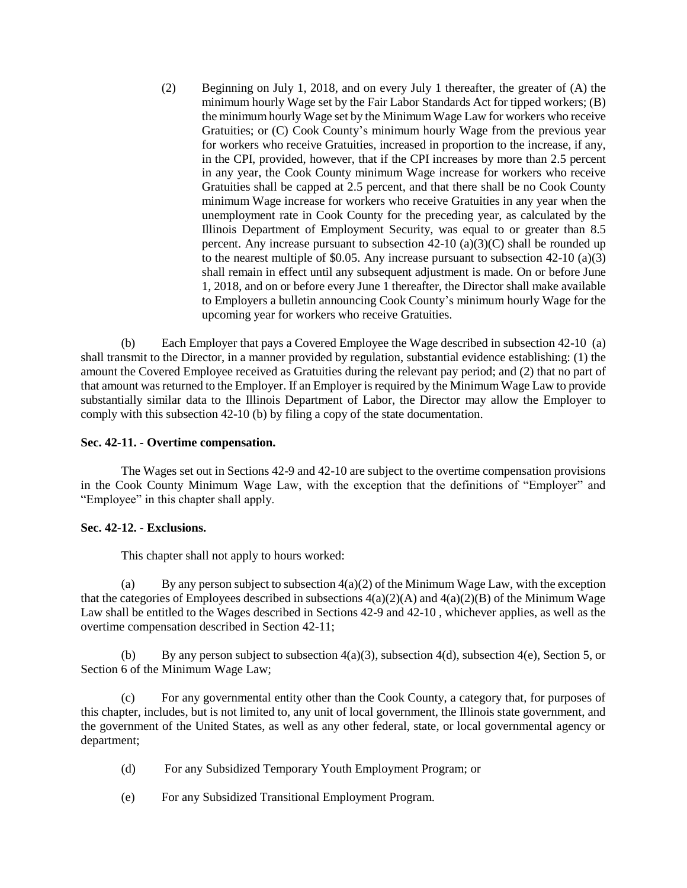(2) Beginning on July 1, 2018, and on every July 1 thereafter, the greater of (A) the minimum hourly Wage set by the Fair Labor Standards Act for tipped workers; (B) the minimum hourly Wage set by the Minimum Wage Law for workers who receive Gratuities; or (C) Cook County's minimum hourly Wage from the previous year for workers who receive Gratuities, increased in proportion to the increase, if any, in the CPI, provided, however, that if the CPI increases by more than 2.5 percent in any year, the Cook County minimum Wage increase for workers who receive Gratuities shall be capped at 2.5 percent, and that there shall be no Cook County minimum Wage increase for workers who receive Gratuities in any year when the unemployment rate in Cook County for the preceding year, as calculated by the Illinois Department of Employment Security, was equal to or greater than 8.5 percent. Any increase pursuant to subsection  $42-10$  (a)(3)(C) shall be rounded up to the nearest multiple of \$0.05. Any increase pursuant to subsection 42-10 (a)(3) shall remain in effect until any subsequent adjustment is made. On or before June 1, 2018, and on or before every June 1 thereafter, the Director shall make available to Employers a bulletin announcing Cook County's minimum hourly Wage for the upcoming year for workers who receive Gratuities.

(b) Each Employer that pays a Covered Employee the Wage described in subsection 42-10 (a) shall transmit to the Director, in a manner provided by regulation, substantial evidence establishing: (1) the amount the Covered Employee received as Gratuities during the relevant pay period; and (2) that no part of that amount was returned to the Employer. If an Employer is required by the Minimum Wage Law to provide substantially similar data to the Illinois Department of Labor, the Director may allow the Employer to comply with this subsection 42-10 (b) by filing a copy of the state documentation.

# **Sec. 42-11. - Overtime compensation.**

The Wages set out in Sections 42-9 and 42-10 are subject to the overtime compensation provisions in the Cook County Minimum Wage Law, with the exception that the definitions of "Employer" and "Employee" in this chapter shall apply.

# **Sec. 42-12. - Exclusions.**

This chapter shall not apply to hours worked:

(a) By any person subject to subsection  $4(a)(2)$  of the Minimum Wage Law, with the exception that the categories of Employees described in subsections  $4(a)(2)(A)$  and  $4(a)(2)(B)$  of the Minimum Wage Law shall be entitled to the Wages described in Sections 42-9 and 42-10 , whichever applies, as well as the overtime compensation described in Section 42-11;

(b) By any person subject to subsection 4(a)(3), subsection 4(d), subsection 4(e), Section 5, or Section 6 of the Minimum Wage Law;

(c) For any governmental entity other than the Cook County, a category that, for purposes of this chapter, includes, but is not limited to, any unit of local government, the Illinois state government, and the government of the United States, as well as any other federal, state, or local governmental agency or department;

- (d) For any Subsidized Temporary Youth Employment Program; or
- (e) For any Subsidized Transitional Employment Program.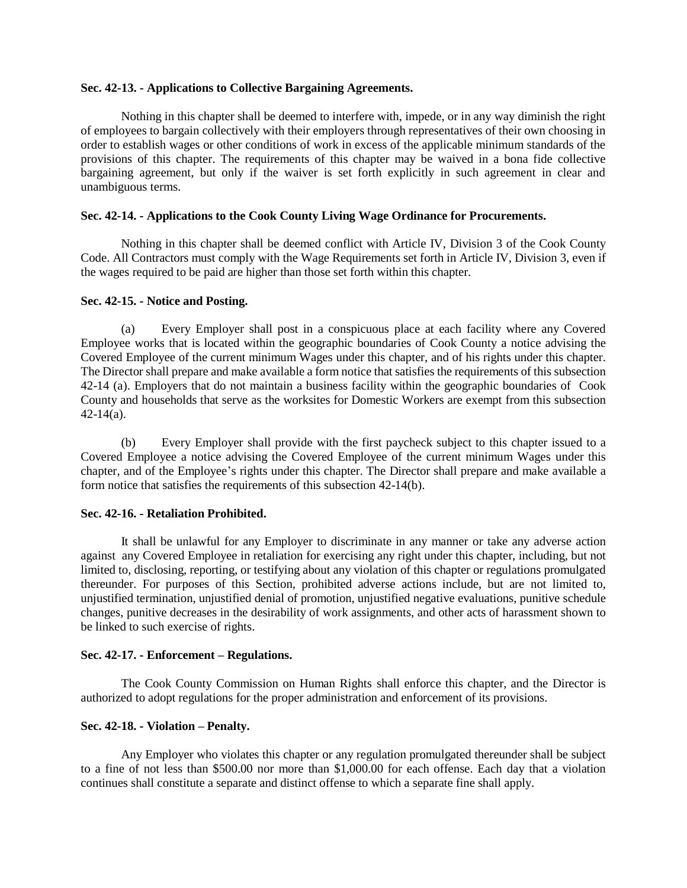#### **Sec. 42-13. - Applications to Collective Bargaining Agreements.**

Nothing in this chapter shall be deemed to interfere with, impede, or in any way diminish the right of employees to bargain collectively with their employers through representatives of their own choosing in order to establish wages or other conditions of work in excess of the applicable minimum standards of the provisions of this chapter. The requirements of this chapter may be waived in a bona fide collective bargaining agreement, but only if the waiver is set forth explicitly in such agreement in clear and unambiguous terms.

#### **Sec. 42-14. - Applications to the Cook County Living Wage Ordinance for Procurements.**

Nothing in this chapter shall be deemed conflict with Article IV, Division 3 of the Cook County Code. All Contractors must comply with the Wage Requirements set forth in Article IV, Division 3, even if the wages required to be paid are higher than those set forth within this chapter.

#### **Sec. 42-15. - Notice and Posting.**

(a) Every Employer shall post in a conspicuous place at each facility where any Covered Employee works that is located within the geographic boundaries of Cook County a notice advising the Covered Employee of the current minimum Wages under this chapter, and of his rights under this chapter. The Director shall prepare and make available a form notice that satisfies the requirements of this subsection 42-14 (a). Employers that do not maintain a business facility within the geographic boundaries of Cook County and households that serve as the worksites for Domestic Workers are exempt from this subsection  $42-14(a)$ .

(b) Every Employer shall provide with the first paycheck subject to this chapter issued to a Covered Employee a notice advising the Covered Employee of the current minimum Wages under this chapter, and of the Employee's rights under this chapter. The Director shall prepare and make available a form notice that satisfies the requirements of this subsection 42-14(b).

#### **Sec. 42-16. - Retaliation Prohibited.**

It shall be unlawful for any Employer to discriminate in any manner or take any adverse action against any Covered Employee in retaliation for exercising any right under this chapter, including, but not limited to, disclosing, reporting, or testifying about any violation of this chapter or regulations promulgated thereunder. For purposes of this Section, prohibited adverse actions include, but are not limited to, unjustified termination, unjustified denial of promotion, unjustified negative evaluations, punitive schedule changes, punitive decreases in the desirability of work assignments, and other acts of harassment shown to be linked to such exercise of rights.

#### **Sec. 42-17. - Enforcement – Regulations.**

The Cook County Commission on Human Rights shall enforce this chapter, and the Director is authorized to adopt regulations for the proper administration and enforcement of its provisions.

#### **Sec. 42-18. - Violation – Penalty.**

Any Employer who violates this chapter or any regulation promulgated thereunder shall be subject to a fine of not less than \$500.00 nor more than \$1,000.00 for each offense. Each day that a violation continues shall constitute a separate and distinct offense to which a separate fine shall apply.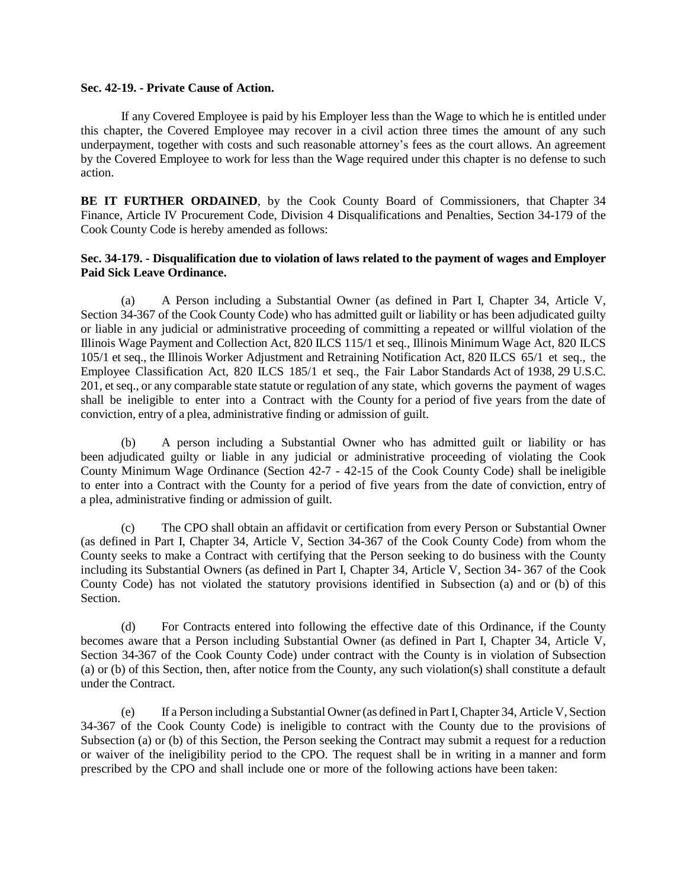#### **Sec. 42-19. - Private Cause of Action.**

If any Covered Employee is paid by his Employer less than the Wage to which he is entitled under this chapter, the Covered Employee may recover in a civil action three times the amount of any such underpayment, together with costs and such reasonable attorney's fees as the court allows. An agreement by the Covered Employee to work for less than the Wage required under this chapter is no defense to such action.

**BE IT FURTHER ORDAINED**, by the Cook County Board of Commissioners, that Chapter 34 Finance, Article IV Procurement Code, Division 4 Disqualifications and Penalties, Section 34-179 of the Cook County Code is hereby amended as follows:

#### **Sec. 34-179. - Disqualification due to violation of laws related to the payment of wages and Employer Paid Sick Leave Ordinance.**

(a) A Person including a Substantial Owner (as defined in Part I, Chapter 34, Article V, Section 34-367 of the Cook County Code) who has admitted guilt or liability or has been adjudicated guilty or liable in any judicial or administrative proceeding of committing a repeated or willful violation of the Illinois Wage Payment and Collection Act, 820 ILCS 115/1 et seq., Illinois Minimum Wage Act, 820 ILCS 105/1 et seq., the Illinois Worker Adjustment and Retraining Notification Act, 820 ILCS 65/1 et seq., the Employee Classification Act, 820 ILCS 185/1 et seq., the Fair Labor Standards Act of 1938, 29 U.S.C. 201, et seq., or any comparable state statute or regulation of any state, which governs the payment of wages shall be ineligible to enter into a Contract with the County for a period of five years from the date of conviction, entry of a plea, administrative finding or admission of guilt.

(b) A person including a Substantial Owner who has admitted guilt or liability or has been adjudicated guilty or liable in any judicial or administrative proceeding of violating the Cook County Minimum Wage Ordinance (Section 42-7 - 42-15 of the Cook County Code) shall be ineligible to enter into a Contract with the County for a period of five years from the date of conviction, entry of a plea, administrative finding or admission of guilt.

(c) The CPO shall obtain an affidavit or certification from every Person or Substantial Owner (as defined in Part I, Chapter 34, Article V, Section 34-367 of the Cook County Code) from whom the County seeks to make a Contract with certifying that the Person seeking to do business with the County including its Substantial Owners (as defined in Part I, Chapter 34, Article V, Section 34- 367 of the Cook County Code) has not violated the statutory provisions identified in Subsection (a) and or (b) of this Section.

(d) For Contracts entered into following the effective date of this Ordinance, if the County becomes aware that a Person including Substantial Owner (as defined in Part I, Chapter 34, Article V, Section 34-367 of the Cook County Code) under contract with the County is in violation of Subsection (a) or (b) of this Section, then, after notice from the County, any such violation(s) shall constitute a default under the Contract.

(e) If a Person including a Substantial Owner(as defined in Part I, Chapter 34, Article V, Section 34-367 of the Cook County Code) is ineligible to contract with the County due to the provisions of Subsection (a) or (b) of this Section, the Person seeking the Contract may submit a request for a reduction or waiver of the ineligibility period to the CPO. The request shall be in writing in a manner and form prescribed by the CPO and shall include one or more of the following actions have been taken: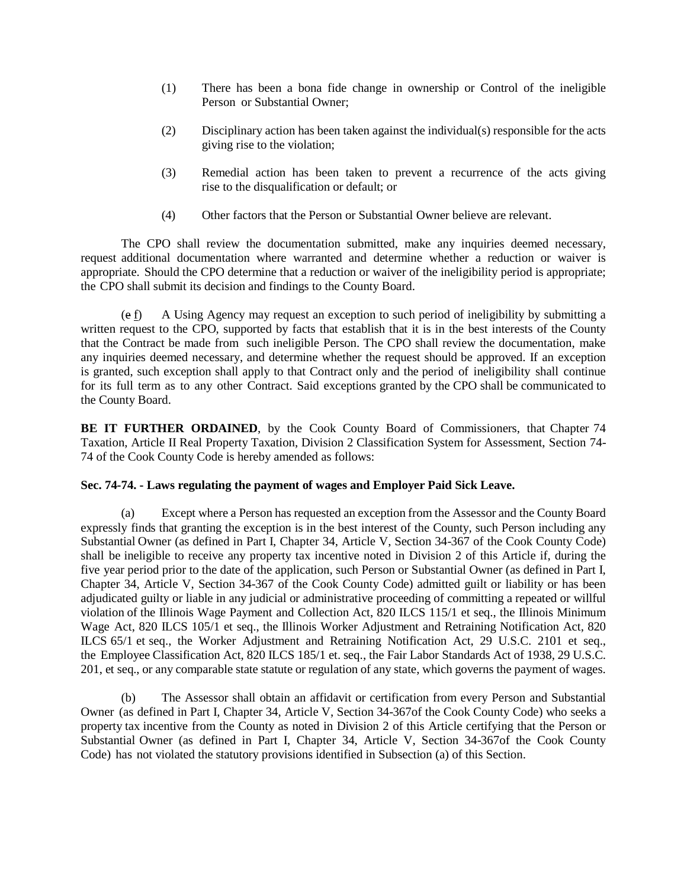- (1) There has been a bona fide change in ownership or Control of the ineligible Person or Substantial Owner;
- (2) Disciplinary action has been taken against the individual(s) responsible for the acts giving rise to the violation;
- (3) Remedial action has been taken to prevent a recurrence of the acts giving rise to the disqualification or default; or
- (4) Other factors that the Person or Substantial Owner believe are relevant.

The CPO shall review the documentation submitted, make any inquiries deemed necessary, request additional documentation where warranted and determine whether a reduction or waiver is appropriate. Should the CPO determine that a reduction or waiver of the ineligibility period is appropriate; the CPO shall submit its decision and findings to the County Board.

 $(e f)$  A Using Agency may request an exception to such period of ineligibility by submitting a written request to the CPO, supported by facts that establish that it is in the best interests of the County that the Contract be made from such ineligible Person. The CPO shall review the documentation, make any inquiries deemed necessary, and determine whether the request should be approved. If an exception is granted, such exception shall apply to that Contract only and the period of ineligibility shall continue for its full term as to any other Contract. Said exceptions granted by the CPO shall be communicated to the County Board.

**BE IT FURTHER ORDAINED**, by the Cook County Board of Commissioners, that Chapter 74 Taxation, Article II Real Property Taxation, Division 2 Classification System for Assessment, Section 74- 74 of the Cook County Code is hereby amended as follows:

# **Sec. 74-74. - Laws regulating the payment of wages and Employer Paid Sick Leave.**

(a) Except where a Person has requested an exception from the Assessor and the County Board expressly finds that granting the exception is in the best interest of the County, such Person including any Substantial Owner (as defined in Part I, Chapter 34, Article V, Section 34-367 of the Cook County Code) shall be ineligible to receive any property tax incentive noted in Division 2 of this Article if, during the five year period prior to the date of the application, such Person or Substantial Owner (as defined in Part I, Chapter 34, Article V, Section 34-367 of the Cook County Code) admitted guilt or liability or has been adjudicated guilty or liable in any judicial or administrative proceeding of committing a repeated or willful violation of the Illinois Wage Payment and Collection Act, 820 ILCS 115/1 et seq., the Illinois Minimum Wage Act, 820 ILCS 105/1 et seq., the Illinois Worker Adjustment and Retraining Notification Act, 820 ILCS 65/1 et seq., the Worker Adjustment and Retraining Notification Act, 29 U.S.C. 2101 et seq., the Employee Classification Act, 820 ILCS 185/1 et. seq., the Fair Labor Standards Act of 1938, 29 U.S.C. 201, et seq., or any comparable state statute or regulation of any state, which governs the payment of wages.

(b) The Assessor shall obtain an affidavit or certification from every Person and Substantial Owner (as defined in Part I, Chapter 34, Article V, Section 34-367of the Cook County Code) who seeks a property tax incentive from the County as noted in Division 2 of this Article certifying that the Person or Substantial Owner (as defined in Part I, Chapter 34, Article V, Section 34-367of the Cook County Code) has not violated the statutory provisions identified in Subsection (a) of this Section.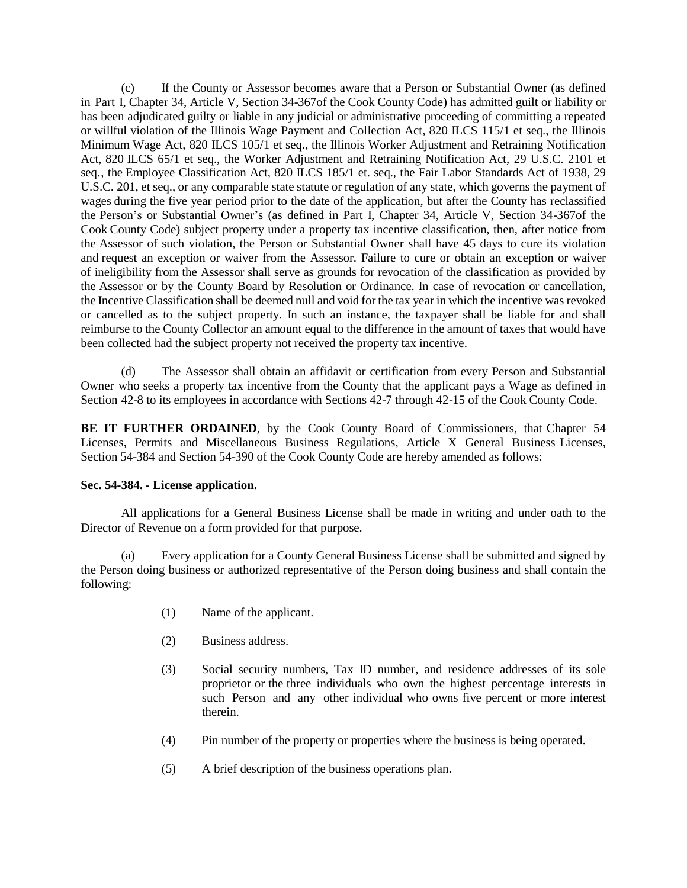(c) If the County or Assessor becomes aware that a Person or Substantial Owner (as defined in Part I, Chapter 34, Article V, Section 34-367of the Cook County Code) has admitted guilt or liability or has been adjudicated guilty or liable in any judicial or administrative proceeding of committing a repeated or willful violation of the Illinois Wage Payment and Collection Act, 820 ILCS 115/1 et seq., the Illinois Minimum Wage Act, 820 ILCS 105/1 et seq., the Illinois Worker Adjustment and Retraining Notification Act, 820 ILCS 65/1 et seq., the Worker Adjustment and Retraining Notification Act, 29 U.S.C. 2101 et seq., the Employee Classification Act, 820 ILCS 185/1 et. seq., the Fair Labor Standards Act of 1938, 29 U.S.C. 201, et seq., or any comparable state statute or regulation of any state, which governs the payment of wages during the five year period prior to the date of the application, but after the County has reclassified the Person's or Substantial Owner's (as defined in Part I, Chapter 34, Article V, Section 34-367of the Cook County Code) subject property under a property tax incentive classification, then, after notice from the Assessor of such violation, the Person or Substantial Owner shall have 45 days to cure its violation and request an exception or waiver from the Assessor. Failure to cure or obtain an exception or waiver of ineligibility from the Assessor shall serve as grounds for revocation of the classification as provided by the Assessor or by the County Board by Resolution or Ordinance. In case of revocation or cancellation, the Incentive Classification shall be deemed null and void for the tax year in which the incentive was revoked or cancelled as to the subject property. In such an instance, the taxpayer shall be liable for and shall reimburse to the County Collector an amount equal to the difference in the amount of taxes that would have been collected had the subject property not received the property tax incentive.

(d) The Assessor shall obtain an affidavit or certification from every Person and Substantial Owner who seeks a property tax incentive from the County that the applicant pays a Wage as defined in Section 42-8 to its employees in accordance with Sections 42-7 through 42-15 of the Cook County Code.

**BE IT FURTHER ORDAINED**, by the Cook County Board of Commissioners, that Chapter 54 Licenses, Permits and Miscellaneous Business Regulations, Article X General Business Licenses, Section 54-384 and Section 54-390 of the Cook County Code are hereby amended as follows:

# **Sec. 54-384. - License application.**

All applications for a General Business License shall be made in writing and under oath to the Director of Revenue on a form provided for that purpose.

(a) Every application for a County General Business License shall be submitted and signed by the Person doing business or authorized representative of the Person doing business and shall contain the following:

- (1) Name of the applicant.
- (2) Business address.
- (3) Social security numbers, Tax ID number, and residence addresses of its sole proprietor or the three individuals who own the highest percentage interests in such Person and any other individual who owns five percent or more interest therein.
- (4) Pin number of the property or properties where the business is being operated.
- (5) A brief description of the business operations plan.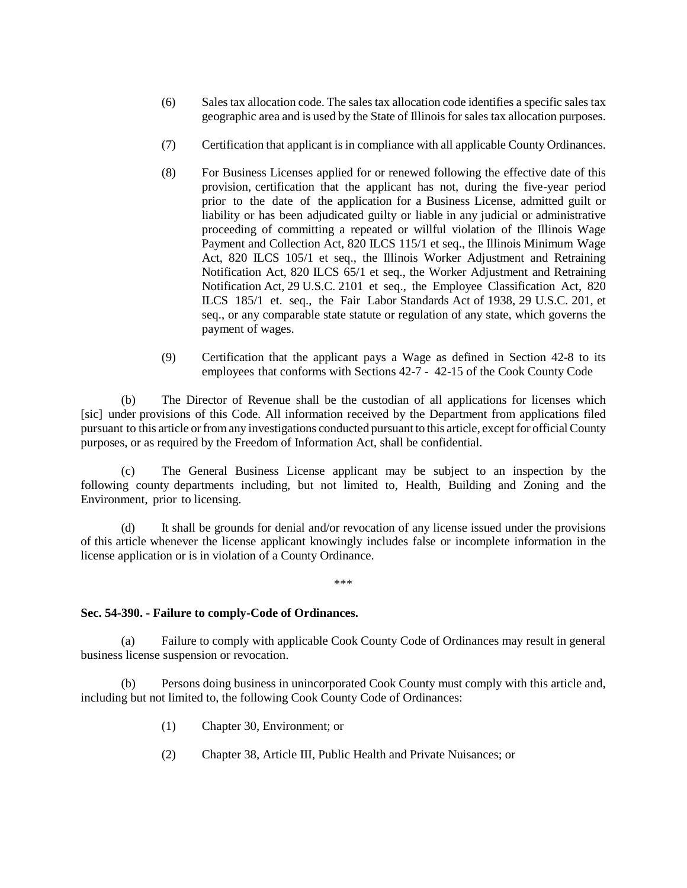- (6) Sales tax allocation code. The sales tax allocation code identifies a specific sales tax geographic area and is used by the State of Illinois for sales tax allocation purposes.
- (7) Certification that applicant is in compliance with all applicable County Ordinances.
- (8) For Business Licenses applied for or renewed following the effective date of this provision, certification that the applicant has not, during the five-year period prior to the date of the application for a Business License, admitted guilt or liability or has been adjudicated guilty or liable in any judicial or administrative proceeding of committing a repeated or willful violation of the Illinois Wage Payment and Collection Act, 820 ILCS 115/1 et seq., the Illinois Minimum Wage Act, 820 ILCS 105/1 et seq., the Illinois Worker Adjustment and Retraining Notification Act, 820 ILCS 65/1 et seq., the Worker Adjustment and Retraining Notification Act, 29 U.S.C. 2101 et seq., the Employee Classification Act, 820 ILCS 185/1 et. seq., the Fair Labor Standards Act of 1938, 29 U.S.C. 201, et seq., or any comparable state statute or regulation of any state, which governs the payment of wages.
- (9) Certification that the applicant pays a Wage as defined in Section 42-8 to its employees that conforms with Sections 42-7 - 42-15 of the Cook County Code

(b) The Director of Revenue shall be the custodian of all applications for licenses which [sic] under provisions of this Code. All information received by the Department from applications filed pursuant to this article orfromany investigations conducted pursuant to this article, exceptfor official County purposes, or as required by the Freedom of Information Act, shall be confidential.

(c) The General Business License applicant may be subject to an inspection by the following county departments including, but not limited to, Health, Building and Zoning and the Environment, prior to licensing.

(d) It shall be grounds for denial and/or revocation of any license issued under the provisions of this article whenever the license applicant knowingly includes false or incomplete information in the license application or is in violation of a County Ordinance.

\*\*\*

#### **Sec. 54-390. - Failure to comply-Code of Ordinances.**

(a) Failure to comply with applicable Cook County Code of Ordinances may result in general business license suspension or revocation.

(b) Persons doing business in unincorporated Cook County must comply with this article and, including but not limited to, the following Cook County Code of Ordinances:

- (1) Chapter 30, Environment; or
- (2) Chapter 38, Article III, Public Health and Private Nuisances; or